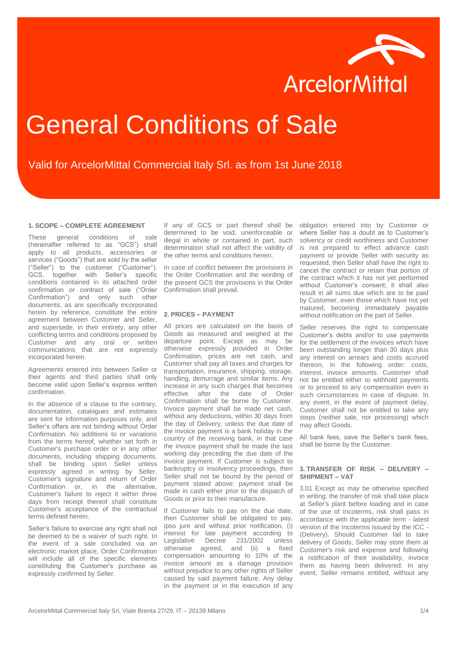

# General Conditions of Sale

## Valid for ArcelorMittal Commercial Italy Srl. as from 1st June 2018

#### **1. SCOPE – COMPLETE AGREEMENT**

These general conditions of sale (hereinafter referred to as "GCS") shall apply to all products, accessories or services ("Goods") that are sold by the seller ("Seller") to the customer ("Customer"). GCS, together with Seller's specific conditions contained in its attached order confirmation or contract of sale ("Order Confirmation") and only such other documents, as are specifically incorporated herein by reference, constitute the entire agreement between Customer and Seller, and supersede, in their entirety, any other conflicting terms and conditions proposed by Customer and any oral or written communications that are not expressly incorporated herein.

Agreements entered into between Seller or their agents and third parties shall only become valid upon Seller's express written confirmation.

In the absence of a clause to the contrary, documentation, catalogues and estimates are sent for information purposes only, and Seller's offers are not binding without Order Confirmation. No additions to or variations from the terms hereof, whether set forth in Customer's purchase order or in any other documents, including shipping documents, shall be binding upon Seller unless expressly agreed in writing by Seller. Customer's signature and return of Order Confirmation or, in the alternative, Customer's failure to reject it within three days from receipt thereof shall constitute Customer's acceptance of the contractual terms defined herein.

Seller's failure to exercise any right shall not be deemed to be a waiver of such right. In the event of a sale concluded via an electronic market place, Order Confirmation will include all of the specific elements constituting the Customer's purchase as expressly confirmed by Seller.

If any of GCS or part thereof shall be determined to be void, unenforceable or illegal in whole or contained in part, such determination shall not affect the validity of the other terms and conditions herein.

In case of conflict between the provisions in the Order Confirmation and the wording of the present GCS the provisions in the Order Confirmation shall prevail.

#### **2. PRICES – PAYMENT**

All prices are calculated on the basis of Goods as measured and weighed at the departure point. Except as may be otherwise expressly provided in Order Confirmation, prices are net cash, and Customer shall pay all taxes and charges for transportation, insurance, shipping, storage, handling, demurrage and similar items. Any increase in any such charges that becomes effective after the date of Order Confirmation shall be borne by Customer. Invoice payment shall be made net cash, without any deductions, within 30 days from the day of Delivery, unless the due date of the invoice payment is a bank holiday in the country of the receiving bank, in that case the invoice payment shall be made the last working day preceding the due date of the invoice payment. If Customer is subject to bankruptcy or insolvency proceedings, then Seller shall not be bound by the period of payment stated above: payment shall be made in cash either prior to the dispatch of Goods or prior to their manufacture.

If Customer fails to pay on the due date, then Customer shall be obligated to pay, ipso jure and without prior notification, (i) interest for late payment according to<br>Legislative Decree 231/2002 unless Legislative Decree 231/2002 otherwise agreed, and (ii) a fixed compensation amounting to 10% of the invoice amount as a damage provision without prejudice to any other rights of Seller caused by said payment failure. Any delay in the payment or in the execution of any

obligation entered into by Customer or where Seller has a doubt as to Customer's solvency or credit worthiness and Customer is not prepared to effect advance cash payment or provide Seller with security as requested, then Seller shall have the right to cancel the contract or retain that portion of the contract which it has not yet performed without Customer's consent; it shall also result in all sums due which are to be paid by Customer, even those which have not yet matured, becoming immediately payable without notification on the part of Seller.

Seller reserves the right to compensate Customer's debts and/or to use payments for the settlement of the invoices which have been outstanding longer than 30 days plus any interest on arrears and costs accrued thereon, in the following order: costs, interest, invoice amounts. Customer shall not be entitled either to withhold payments or to proceed to any compensation even in such circumstances in case of dispute. In any event, in the event of payment delay, Customer shall not be entitled to take any steps (neither sale, nor processing) which may affect Goods.

All bank fees, save the Seller's bank fees, shall be borne by the Customer.

### **3. TRANSFER OF RISK – DELIVERY – SHIPMENT – VAT**

3.01 Except as may be otherwise specified in writing, the transfer of risk shall take place at Seller's plant before loading and in case of the use of Incoterms, risk shall pass in accordance with the applicable term - latest version of the Incoterms issued by the ICC - (Delivery). Should Customer fail to take delivery of Goods, Seller may store them at Customer's risk and expense and following a notification of their availability, invoice them as having been delivered. In any event, Seller remains entitled, without any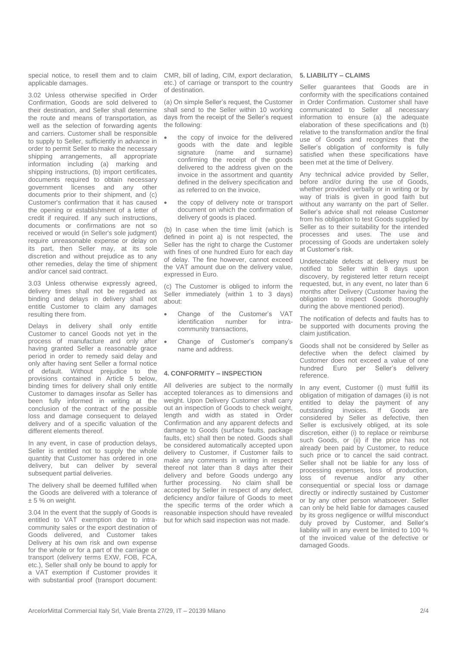special notice, to resell them and to claim applicable damages.

3.02 Unless otherwise specified in Order Confirmation, Goods are sold delivered to their destination, and Seller shall determine the route and means of transportation, as well as the selection of forwarding agents and carriers. Customer shall be responsible to supply to Seller, sufficiently in advance in order to permit Seller to make the necessary shipping arrangements, all appropriate information including (a) marking and shipping instructions, (b) import certificates, documents required to obtain necessary government licenses and any other documents prior to their shipment, and (c) Customer's confirmation that it has caused the opening or establishment of a letter of credit if required. If any such instructions, documents or confirmations are not so received or would (in Seller's sole judgment) require unreasonable expense or delay on its part, then Seller may, at its sole discretion and without prejudice as to any other remedies, delay the time of shipment and/or cancel said contract.

3.03 Unless otherwise expressly agreed, delivery times shall not be regarded as binding and delays in delivery shall not entitle Customer to claim any damages resulting there from.

Delays in delivery shall only entitle Customer to cancel Goods not yet in the process of manufacture and only after having granted Seller a reasonable grace period in order to remedy said delay and only after having sent Seller a formal notice of default. Without prejudice to the provisions contained in Article 5 below, binding times for delivery shall only entitle Customer to damages insofar as Seller has been fully informed in writing at the conclusion of the contract of the possible loss and damage consequent to delayed delivery and of a specific valuation of the different elements thereof.

In any event, in case of production delays, Seller is entitled not to supply the whole quantity that Customer has ordered in one delivery, but can deliver by several subsequent partial deliveries.

The delivery shall be deemed fulfilled when the Goods are delivered with a tolerance of  $± 5%$  on weight.

3.04 In the event that the supply of Goods is entitled to VAT exemption due to intracommunity sales or the export destination of Goods delivered, and Customer takes Delivery at his own risk and own expense for the whole or for a part of the carriage or transport (delivery terms EXW, FOB, FCA, etc.), Seller shall only be bound to apply for a VAT exemption if Customer provides it with substantial proof (transport document:

CMR, bill of lading, CIM, export declaration, etc.) of carriage or transport to the country of destination.

(a) On simple Seller's request, the Customer shall send to the Seller within 10 working days from the receipt of the Seller's request the following:

- the copy of invoice for the delivered goods with the date and legible signature (name and surname) confirming the receipt of the goods delivered to the address given on the invoice in the assortment and quantity defined in the delivery specification and as referred to on the invoice,
- the copy of delivery note or transport document on which the confirmation of delivery of goods is placed.

(b) In case when the time limit (which is defined in point a) is not respected, the Seller has the right to charge the Customer with fines of one hundred Euro for each day of delay. The fine however, cannot exceed the VAT amount due on the delivery value, expressed in Euro.

(c) The Customer is obliged to inform the Seller immediately (within 1 to 3 days) about:

- Change of the Customer's VAT<br>identification number for intraidentification number for intracommunity transactions,
- Change of Customer's company's name and address.

### **4. CONFORMITY – INSPECTION**

All deliveries are subject to the normally accepted tolerances as to dimensions and weight. Upon Delivery Customer shall carry out an inspection of Goods to check weight, length and width as stated in Order Confirmation and any apparent defects and damage to Goods (surface faults, package faults, etc) shall then be noted. Goods shall be considered automatically accepted upon delivery to Customer, if Customer fails to make any comments in writing in respect thereof not later than 8 days after their delivery and before Goods undergo any further processing. No claim shall be accepted by Seller in respect of any defect, deficiency and/or failure of Goods to meet the specific terms of the order which a reasonable inspection should have revealed but for which said inspection was not made.

#### **5. LIABILITY – CLAIMS**

Seller guarantees that Goods are in conformity with the specifications contained in Order Confirmation. Customer shall have communicated to Seller all necessary information to ensure (a) the adequate elaboration of these specifications and (b) relative to the transformation and/or the final use of Goods and recognizes that the Seller's obligation of conformity is fully satisfied when these specifications have been met at the time of Delivery.

Any technical advice provided by Seller, before and/or during the use of Goods, whether provided verbally or in writing or by way of trials is given in good faith but without any warranty on the part of Seller. Seller's advice shall not release Customer from his obligation to test Goods supplied by Seller as to their suitability for the intended processes and uses. The use and processing of Goods are undertaken solely at Customer's risk.

Undetectable defects at delivery must be notified to Seller within 8 days upon discovery, by registered letter return receipt requested, but, in any event, no later than 6 months after Delivery (Customer having the obligation to inspect Goods thoroughly during the above mentioned period).

The notification of defects and faults has to be supported with documents proving the claim justification.

Goods shall not be considered by Seller as defective when the defect claimed by Customer does not exceed a value of one hundred Euro per Seller's delivery reference.

In any event, Customer (i) must fulfill its obligation of mitigation of damages (ii) is not entitled to delay the payment of any<br>outstanding invoices. If Goods are outstanding invoices. If Goods are considered by Seller as defective, then Seller is exclusively obliged, at its sole discretion, either (i) to replace or reimburse such Goods, or (ii) if the price has not already been paid by Customer, to reduce such price or to cancel the said contract. Seller shall not be liable for any loss of processing expenses, loss of production, loss of revenue and/or any other consequential or special loss or damage directly or indirectly sustained by Customer or by any other person whatsoever. Seller can only be held liable for damages caused by its gross negligence or willful misconduct duly proved by Customer, and Seller's liability will in any event be limited to 100 % of the invoiced value of the defective or damaged Goods.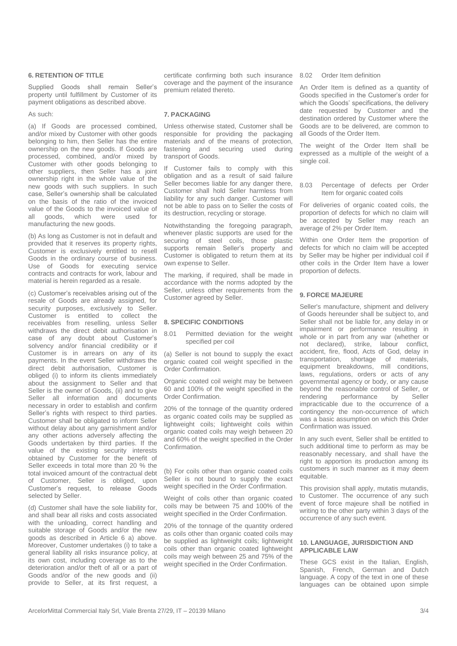#### **6. RETENTION OF TITLE**

Supplied Goods shall remain Seller's property until fulfillment by Customer of its payment obligations as described above.

#### As such:

(a) If Goods are processed combined, and/or mixed by Customer with other goods belonging to him, then Seller has the entire ownership on the new goods. If Goods are processed, combined, and/or mixed by Customer with other goods belonging to other suppliers, then Seller has a joint ownership right in the whole value of the new goods with such suppliers. In such case, Seller's ownership shall be calculated on the basis of the ratio of the invoiced value of the Goods to the invoiced value of<br>all goods which were used for all goods, which were manufacturing the new goods.

(b) As long as Customer is not in default and provided that it reserves its property rights, Customer is exclusively entitled to resell Goods in the ordinary course of business. Use of Goods for executing service contracts and contracts for work, labour and material is herein regarded as a resale.

(c) Customer's receivables arising out of the resale of Goods are already assigned, for security purposes, exclusively to Seller. Customer is entitled to collect the receivables from reselling, unless Seller withdraws the direct debit authorisation in case of any doubt about Customer's solvency and/or financial credibility or if Customer is in arrears on any of its payments. In the event Seller withdraws the direct debit authorisation, Customer is obliged (i) to inform its clients immediately about the assignment to Seller and that Seller is the owner of Goods, (ii) and to give Seller all information and documents necessary in order to establish and confirm Seller's rights with respect to third parties. Customer shall be obligated to inform Seller without delay about any garnishment and/or any other actions adversely affecting the Goods undertaken by third parties. If the value of the existing security interests obtained by Customer for the benefit of Seller exceeds in total more than 20 % the total invoiced amount of the contractual debt of Customer, Seller is obliged, upon Customer's request, to release Goods selected by Seller.

(d) Customer shall have the sole liability for, and shall bear all risks and costs associated with the unloading, correct handling and suitable storage of Goods and/or the new goods as described in Article 6 a) above. Moreover, Customer undertakes (i) to take a general liability all risks insurance policy, at its own cost, including coverage as to the deterioration and/or theft of all or a part of Goods and/or of the new goods and (ii) provide to Seller, at its first request, a

certificate confirming both such insurance 8.02 Order Item definition coverage and the payment of the insurance premium related thereto.

#### **7. PACKAGING**

Unless otherwise stated, Customer shall be responsible for providing the packaging materials and of the means of protection, fastening and securing used during transport of Goods.

If Customer fails to comply with this obligation and as a result of said failure Seller becomes liable for any danger there. Customer shall hold Seller harmless from liability for any such danger. Customer will not be able to pass on to Seller the costs of its destruction, recycling or storage.

Notwithstanding the foregoing paragraph, whenever plastic supports are used for the securing of steel coils, those plastic supports remain Seller's property and Customer is obligated to return them at its own expense to Seller.

The marking, if required, shall be made in accordance with the norms adopted by the Seller, unless other requirements from the Customer agreed by Seller.

#### **8. SPECIFIC CONDITIONS**

8.01 Permitted deviation for the weight specified per coil

(a) Seller is not bound to supply the exact organic coated coil weight specified in the Order Confirmation.

Organic coated coil weight may be between 60 and 100% of the weight specified in the Order Confirmation.

20% of the tonnage of the quantity ordered as organic coated coils may be supplied as lightweight coils; lightweight coils within organic coated coils may weigh between 20 and 60% of the weight specified in the Order Confirmation.

(b) For coils other than organic coated coils Seller is not bound to supply the exact weight specified in the Order Confirmation.

Weight of coils other than organic coated coils may be between 75 and 100% of the weight specified in the Order Confirmation.

20% of the tonnage of the quantity ordered as coils other than organic coated coils may be supplied as lightweight coils; lightweight coils other than organic coated lightweight coils may weigh between 25 and 75% of the weight specified in the Order Confirmation.

An Order Item is defined as a quantity of Goods specified in the Customer's order for which the Goods' specifications, the delivery date requested by Customer and the destination ordered by Customer where the Goods are to be delivered, are common to all Goods of the Order Item.

The weight of the Order Item shall be expressed as a multiple of the weight of a single coil.

8.03 Percentage of defects per Order Item for organic coated coils

For deliveries of organic coated coils, the proportion of defects for which no claim will be accepted by Seller may reach an average of 2% per Order Item.

Within one Order Item the proportion of defects for which no claim will be accepted by Seller may be higher per individual coil if other coils in the Order Item have a lower proportion of defects.

#### **9. FORCE MAJEURE**

Seller's manufacture, shipment and delivery of Goods hereunder shall be subject to, and Seller shall not be liable for, any delay in or impairment or performance resulting in whole or in part from any war (whether or not declared), strike, labour conflict, accident, fire, flood, Acts of God, delay in transportation, shortage of materials, equipment breakdowns, mill conditions, laws, regulations, orders or acts of any governmental agency or body, or any cause beyond the reasonable control of Seller, or rendering performance by Seller impracticable due to the occurrence of a contingency the non-occurrence of which was a basic assumption on which this Order Confirmation was issued.

In any such event, Seller shall be entitled to such additional time to perform as may be reasonably necessary, and shall have the right to apportion its production among its customers in such manner as it may deem equitable.

This provision shall apply, mutatis mutandis, to Customer. The occurrence of any such event of force majeure shall be notified in writing to the other party within 3 days of the occurrence of any such event.

#### **10. LANGUAGE, JURISDICTION AND APPLICABLE LAW**

These GCS exist in the Italian, English, Spanish, French, German and Dutch language. A copy of the text in one of these languages can be obtained upon simple